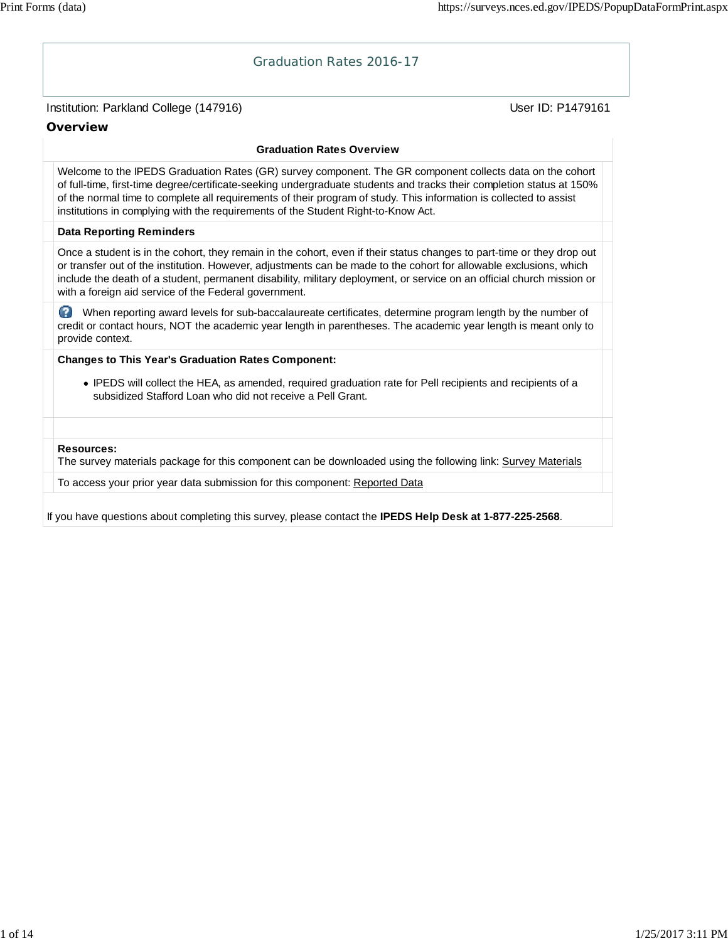# Institution: Parkland College (147916) November 2012 12: Physics User ID: P1479161 Graduation Rates 2016-17 **Overview Graduation Rates Overview** Welcome to the IPEDS Graduation Rates (GR) survey component. The GR component collects data on the cohort of full-time, first-time degree/certificate-seeking undergraduate students and tracks their completion status at 150% of the normal time to complete all requirements of their program of study. This information is collected to assist institutions in complying with the requirements of the Student Right-to-Know Act. **Data Reporting Reminders** Once a student is in the cohort, they remain in the cohort, even if their status changes to part-time or they drop out or transfer out of the institution. However, adjustments can be made to the cohort for allowable exclusions, which include the death of a student, permanent disability, military deployment, or service on an official church mission or with a foreign aid service of the Federal government. When reporting award levels for sub-baccalaureate certificates, determine program length by the number of credit or contact hours, NOT the academic year length in parentheses. The academic year length is meant only to provide context. **Changes to This Year's Graduation Rates Component:** IPEDS will collect the HEA, as amended, required graduation rate for Pell recipients and recipients of a subsidized Stafford Loan who did not receive a Pell Grant. **Resources:** The survey materials package for this component can be downloaded using the following link: Survey Materials To access your prior year data submission for this component: Reported Data If you have questions about completing this survey, please contact the **IPEDS Help Desk at 1-877-225-2568**.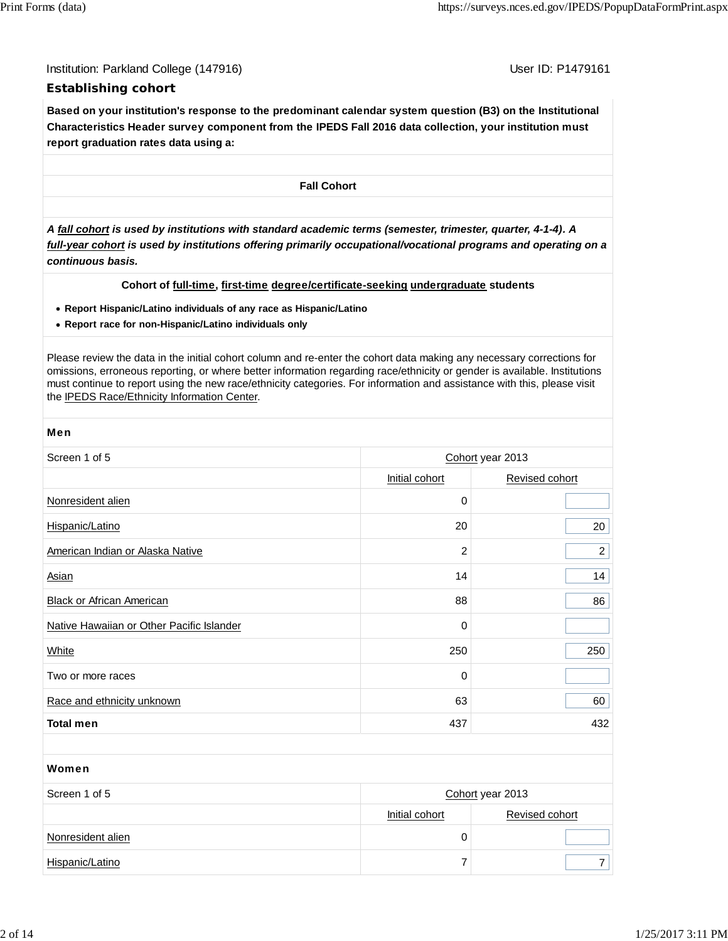Institution: Parkland College (147916) November 2012 12: P1479161

## **Establishing cohort**

**Based on your institution's response to the predominant calendar system question (B3) on the Institutional Characteristics Header survey component from the IPEDS Fall 2016 data collection, your institution must report graduation rates data using a:**

**Fall Cohort**

*A fall cohort is used by institutions with standard academic terms (semester, trimester, quarter, 4-1-4). A full-year cohort is used by institutions offering primarily occupational/vocational programs and operating on a continuous basis.*

## **Cohort of full-time, first-time degree/certificate-seeking undergraduate students**

- **Report Hispanic/Latino individuals of any race as Hispanic/Latino**
- **Report race for non-Hispanic/Latino individuals only**

Please review the data in the initial cohort column and re-enter the cohort data making any necessary corrections for omissions, erroneous reporting, or where better information regarding race/ethnicity or gender is available. Institutions must continue to report using the new race/ethnicity categories. For information and assistance with this, please visit the IPEDS Race/Ethnicity Information Center.

| <b>Men</b>                                |                  |                  |  |  |  |
|-------------------------------------------|------------------|------------------|--|--|--|
| Screen 1 of 5                             | Cohort year 2013 |                  |  |  |  |
|                                           | Initial cohort   | Revised cohort   |  |  |  |
| Nonresident alien                         | 0                |                  |  |  |  |
| Hispanic/Latino                           | 20               | 20               |  |  |  |
| American Indian or Alaska Native          | 2                | $\overline{2}$   |  |  |  |
| Asian                                     | 14               | 14               |  |  |  |
| <b>Black or African American</b>          | 88               | 86               |  |  |  |
| Native Hawaiian or Other Pacific Islander | 0                |                  |  |  |  |
| <b>White</b>                              | 250              | 250              |  |  |  |
| Two or more races                         | 0                |                  |  |  |  |
| Race and ethnicity unknown                | 63               | 60               |  |  |  |
| <b>Total men</b>                          | 437              | 432              |  |  |  |
|                                           |                  |                  |  |  |  |
| Women                                     |                  |                  |  |  |  |
| Screen 1 of 5                             |                  | Cohort year 2013 |  |  |  |
|                                           | Initial cohort   | Revised cohort   |  |  |  |

Hispanic/Latino 7 7

Nonresident alien 0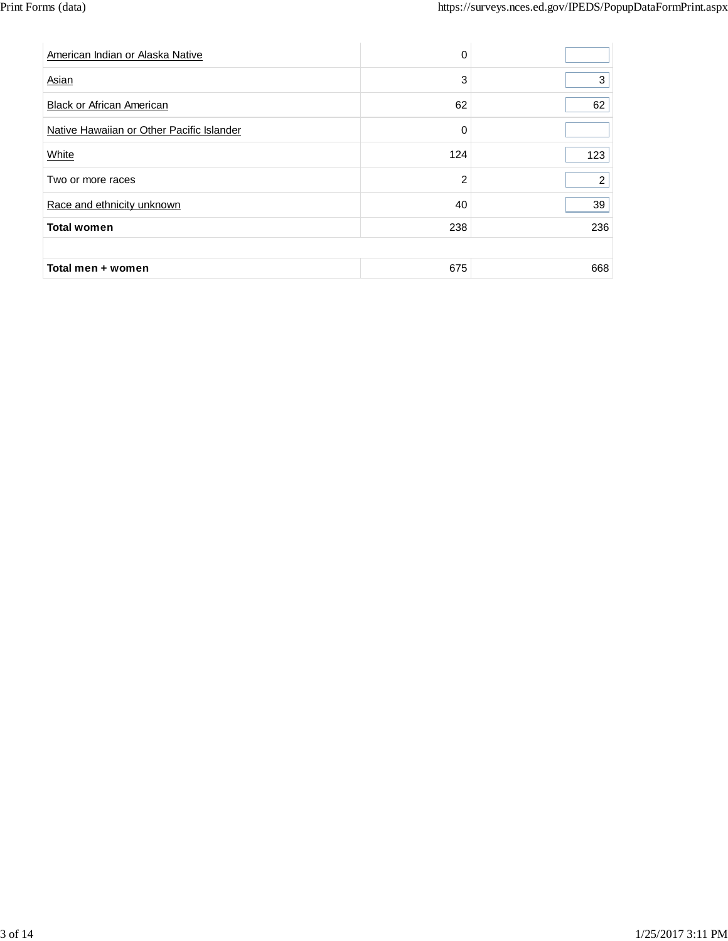| American Indian or Alaska Native          | 0              |                |
|-------------------------------------------|----------------|----------------|
| Asian                                     | 3              | 3              |
| <b>Black or African American</b>          | 62             | 62             |
| Native Hawaiian or Other Pacific Islander | 0              |                |
| White                                     | 124            | 123            |
| Two or more races                         | $\overline{2}$ | $\overline{2}$ |
| Race and ethnicity unknown                | 40             | 39             |
| <b>Total women</b>                        | 238            | 236            |
|                                           |                |                |
| Total men + women                         | 675            | 668            |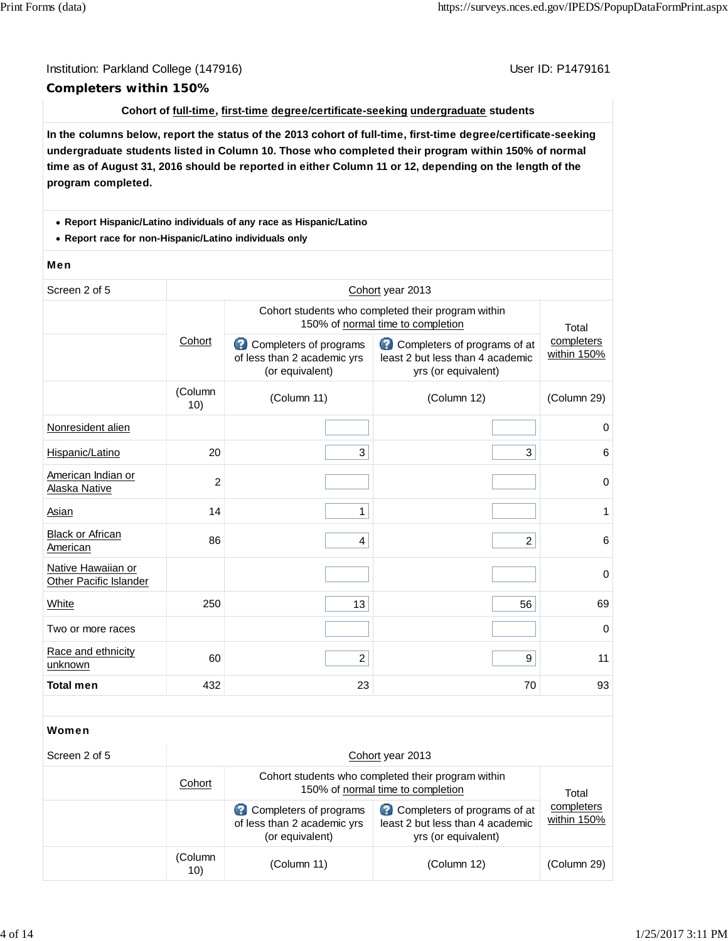## Institution: Parkland College (147916) November 2012 12: P1479161 **Completers within 150%**

## **Cohort of full-time, first-time degree/certificate-seeking undergraduate students**

**In the columns below, report the status of the 2013 cohort of full-time, first-time degree/certificate-seeking undergraduate students listed in Column 10. Those who completed their program within 150% of normal time as of August 31, 2016 should be reported in either Column 11 or 12, depending on the length of the program completed.**

### **Report Hispanic/Latino individuals of any race as Hispanic/Latino**

**Report race for non-Hispanic/Latino individuals only**

### Men

| Screen 2 of 5                                       | Cohort year 2013 |                                                                                                             |                                                                                         |                           |  |  |
|-----------------------------------------------------|------------------|-------------------------------------------------------------------------------------------------------------|-----------------------------------------------------------------------------------------|---------------------------|--|--|
|                                                     |                  | Cohort students who completed their program within<br>150% of normal time to completion                     |                                                                                         |                           |  |  |
|                                                     | Cohort           | Completers of programs<br>of less than 2 academic yrs<br>(or equivalent)                                    | Completers of programs of at<br>least 2 but less than 4 academic<br>yrs (or equivalent) | completers<br>within 150% |  |  |
|                                                     | (Column<br>10)   | (Column 11)                                                                                                 | (Column 12)                                                                             | (Column 29)               |  |  |
| Nonresident alien                                   |                  |                                                                                                             |                                                                                         | $\mathbf 0$               |  |  |
| Hispanic/Latino                                     | 20               | 3                                                                                                           | 3                                                                                       | 6                         |  |  |
| American Indian or<br>Alaska Native                 | $\overline{2}$   |                                                                                                             |                                                                                         | $\mathbf 0$               |  |  |
| Asian                                               | 14               | $\mathbf{1}$                                                                                                |                                                                                         | 1                         |  |  |
| <b>Black or African</b><br>American                 | 86               | $\overline{4}$                                                                                              | $\overline{c}$                                                                          | 6                         |  |  |
| Native Hawaiian or<br><b>Other Pacific Islander</b> |                  |                                                                                                             |                                                                                         | 0                         |  |  |
| White                                               | 250              | 13                                                                                                          | 56                                                                                      | 69                        |  |  |
| Two or more races                                   |                  |                                                                                                             |                                                                                         | $\mathbf 0$               |  |  |
| Race and ethnicity<br>unknown                       | 60               | $\overline{a}$                                                                                              | 9                                                                                       | 11                        |  |  |
| <b>Total men</b>                                    | 432              | 23                                                                                                          | 70                                                                                      | 93                        |  |  |
|                                                     |                  |                                                                                                             |                                                                                         |                           |  |  |
| Women                                               |                  |                                                                                                             |                                                                                         |                           |  |  |
| Screen 2 of 5                                       |                  |                                                                                                             | Cohort year 2013                                                                        |                           |  |  |
|                                                     | Cohort           | Cohort students who completed their program within<br>150% of normal time to completion<br>$T_{\alpha}$ tol |                                                                                         |                           |  |  |

| Cohort         | 150% of normal time to completion                                        | Total                                                                                   |                           |
|----------------|--------------------------------------------------------------------------|-----------------------------------------------------------------------------------------|---------------------------|
|                | Completers of programs<br>of less than 2 academic yrs<br>(or equivalent) | Completers of programs of at<br>least 2 but less than 4 academic<br>yrs (or equivalent) | completers<br>within 150% |
| (Column<br>10) | (Column 11)                                                              | (Column 12)                                                                             | (Column 29)               |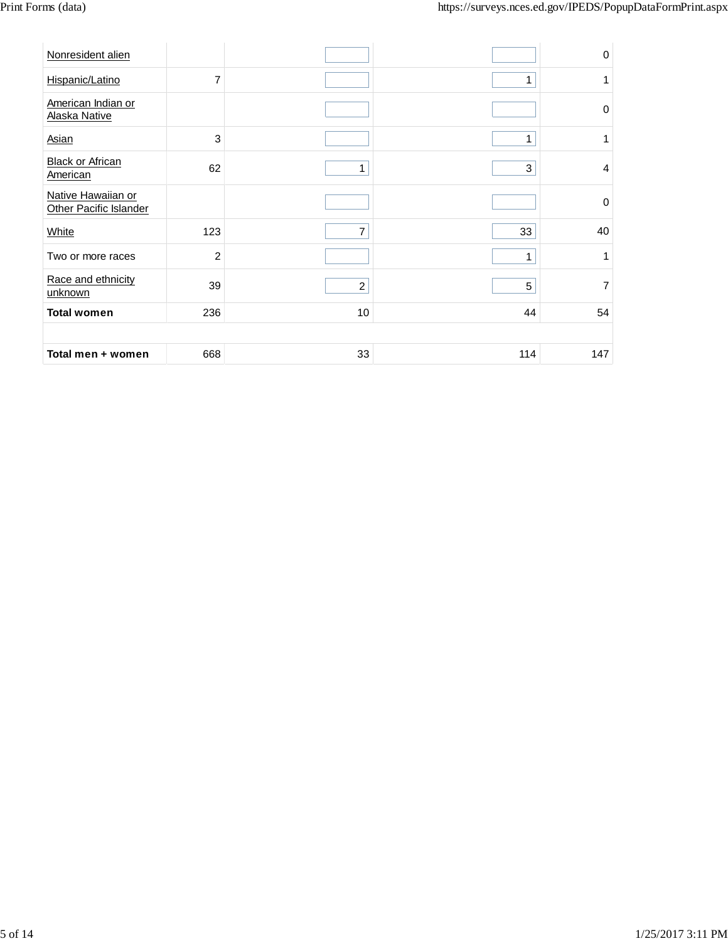| Nonresident alien                            |                |                |     | $\mathsf{O}\xspace$ |
|----------------------------------------------|----------------|----------------|-----|---------------------|
| Hispanic/Latino                              | $\overline{7}$ |                | 1   | 1                   |
| American Indian or<br>Alaska Native          |                |                |     | $\mathbf 0$         |
| Asian                                        | 3              |                | 1   | 1                   |
| <b>Black or African</b><br>American          | 62             | 1              | 3   | $\overline{4}$      |
| Native Hawaiian or<br>Other Pacific Islander |                |                |     | $\mathbf 0$         |
| White                                        | 123            | 7              | 33  | 40                  |
| Two or more races                            | $\overline{c}$ |                | 1   | 1                   |
| Race and ethnicity<br>unknown                | 39             | $\overline{c}$ | 5   | $\overline{7}$      |
| <b>Total women</b>                           | 236            | 10             | 44  | 54                  |
|                                              |                |                |     |                     |
| Total men + women                            | 668            | 33             | 114 | 147                 |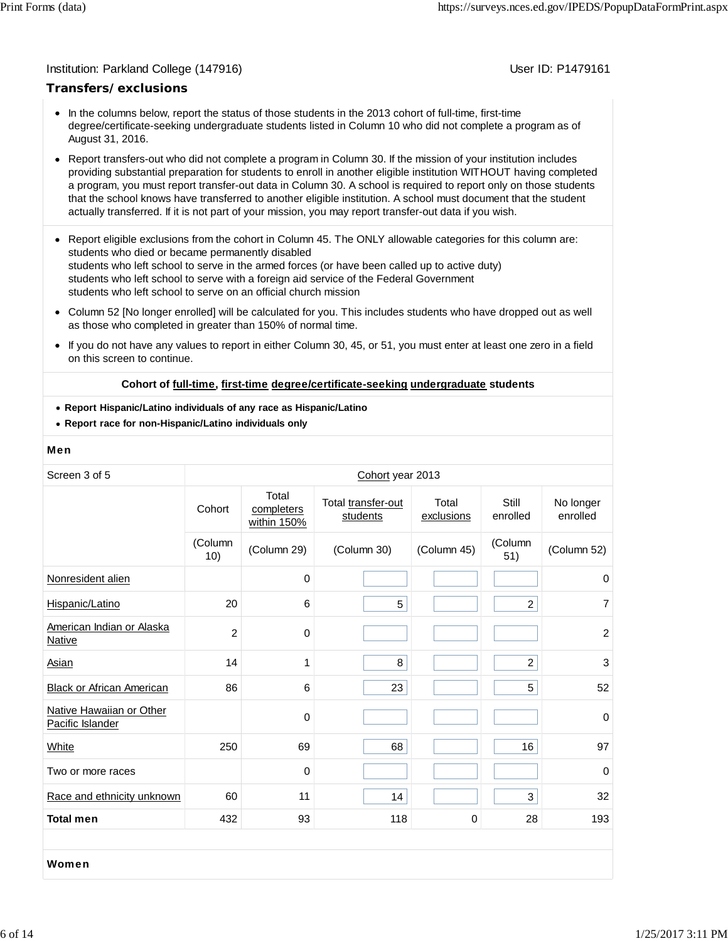## Institution: Parkland College (147916) November 2012 12: P1479161

## **Transfers/exclusions**

- In the columns below, report the status of those students in the 2013 cohort of full-time, first-time degree/certificate-seeking undergraduate students listed in Column 10 who did not complete a program as of August 31, 2016.
- Report transfers-out who did not complete a program in Column 30. If the mission of your institution includes providing substantial preparation for students to enroll in another eligible institution WITHOUT having completed a program, you must report transfer-out data in Column 30. A school is required to report only on those students that the school knows have transferred to another eligible institution. A school must document that the student actually transferred. If it is not part of your mission, you may report transfer-out data if you wish.
- Report eligible exclusions from the cohort in Column 45. The ONLY allowable categories for this column are: students who died or became permanently disabled students who left school to serve in the armed forces (or have been called up to active duty) students who left school to serve with a foreign aid service of the Federal Government students who left school to serve on an official church mission
- Column 52 [No longer enrolled] will be calculated for you. This includes students who have dropped out as well as those who completed in greater than 150% of normal time.
- $\bullet$ If you do not have any values to report in either Column 30, 45, or 51, you must enter at least one zero in a field on this screen to continue.

### **Cohort of full-time, first-time degree/certificate-seeking undergraduate students**

- **Report Hispanic/Latino individuals of any race as Hispanic/Latino**
- **Report race for non-Hispanic/Latino individuals only**

### Men

| Screen 3 of 5                                | Cohort year 2013 |                                    |                                |                     |                   |                       |
|----------------------------------------------|------------------|------------------------------------|--------------------------------|---------------------|-------------------|-----------------------|
|                                              | Cohort           | Total<br>completers<br>within 150% | Total transfer-out<br>students | Total<br>exclusions | Still<br>enrolled | No longer<br>enrolled |
|                                              | (Column<br>10)   | (Column 29)                        | (Column 30)                    | (Column 45)         | (Column<br>51)    | (Column 52)           |
| Nonresident alien                            |                  | 0                                  |                                |                     |                   | 0                     |
| Hispanic/Latino                              | 20               | 6                                  | 5                              |                     | $\overline{a}$    | $\overline{7}$        |
| American Indian or Alaska<br>Native          | $\overline{c}$   | 0                                  |                                |                     |                   | $\overline{2}$        |
| Asian                                        | 14               | 1                                  | 8                              |                     | $\overline{2}$    | 3                     |
| <b>Black or African American</b>             | 86               | 6                                  | 23                             |                     | 5                 | 52                    |
| Native Hawaiian or Other<br>Pacific Islander |                  | 0                                  |                                |                     |                   | $\Omega$              |
| White                                        | 250              | 69                                 | 68                             |                     | 16                | 97                    |
| Two or more races                            |                  | 0                                  |                                |                     |                   | $\mathbf 0$           |
| Race and ethnicity unknown                   | 60               | 11                                 | 14                             |                     | 3                 | 32                    |
| <b>Total men</b>                             | 432              | 93                                 | 118                            | 0                   | 28                | 193                   |
|                                              |                  |                                    |                                |                     |                   |                       |
| Women                                        |                  |                                    |                                |                     |                   |                       |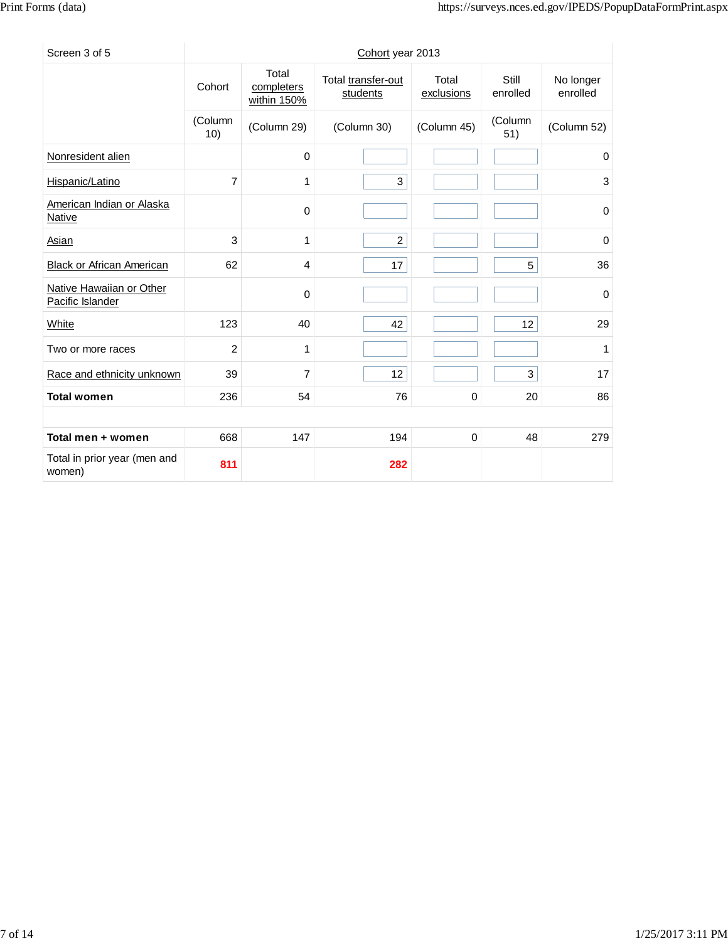| Screen 3 of 5                                |                |                                    | Cohort year 2013               |                     |                   |                       |
|----------------------------------------------|----------------|------------------------------------|--------------------------------|---------------------|-------------------|-----------------------|
|                                              | Cohort         | Total<br>completers<br>within 150% | Total transfer-out<br>students | Total<br>exclusions | Still<br>enrolled | No longer<br>enrolled |
|                                              | (Column<br>10) | (Column 29)                        | (Column 30)                    | (Column 45)         | (Column<br>51)    | (Column 52)           |
| Nonresident alien                            |                | $\mathbf 0$                        |                                |                     |                   | 0                     |
| Hispanic/Latino                              | $\overline{7}$ | 1                                  | 3                              |                     |                   | 3                     |
| American Indian or Alaska<br>Native          |                | $\mathbf 0$                        |                                |                     |                   | 0                     |
| Asian                                        | 3              | 1                                  | $\overline{2}$                 |                     |                   | 0                     |
| <b>Black or African American</b>             | 62             | 4                                  | 17                             |                     | 5                 | 36                    |
| Native Hawaiian or Other<br>Pacific Islander |                | $\mathbf 0$                        |                                |                     |                   | 0                     |
| White                                        | 123            | 40                                 | 42                             |                     | 12                | 29                    |
| Two or more races                            | $\overline{2}$ | 1                                  |                                |                     |                   | 1                     |
| Race and ethnicity unknown                   | 39             | $\overline{7}$                     | 12                             |                     | 3                 | 17                    |
| <b>Total women</b>                           | 236            | 54                                 | 76                             | 0                   | 20                | 86                    |
|                                              |                |                                    |                                |                     |                   |                       |
| Total men + women                            | 668            | 147                                | 194                            | 0                   | 48                | 279                   |
| Total in prior year (men and<br>women)       | 811            |                                    | 282                            |                     |                   |                       |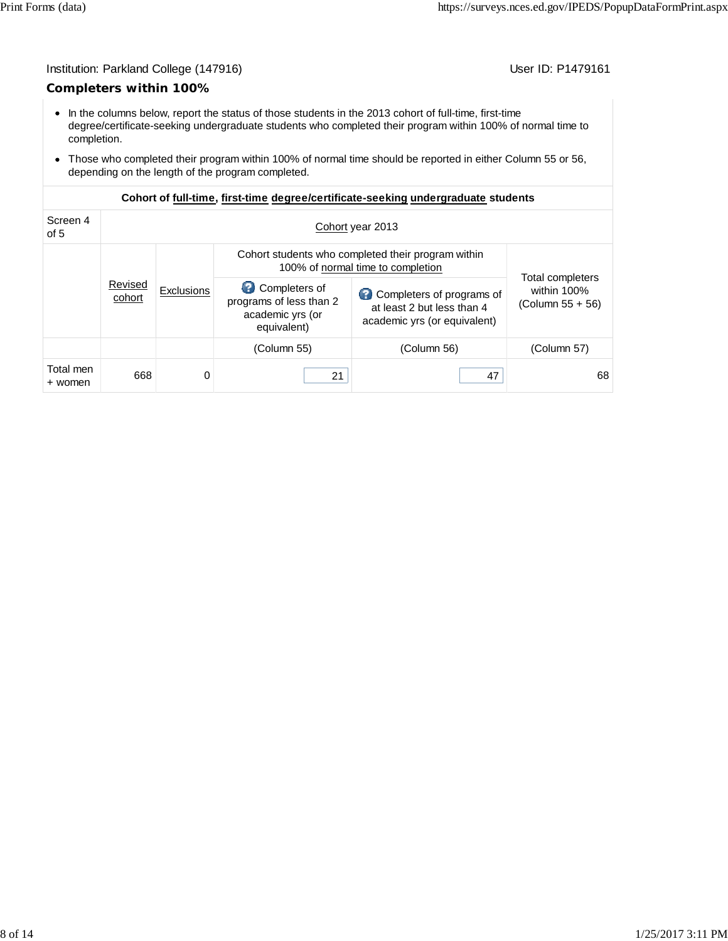## Institution: Parkland College (147916) Contract College (147916)

## **Completers within 100%**

- In the columns below, report the status of those students in the 2013 cohort of full-time, first-time degree/certificate-seeking undergraduate students who completed their program within 100% of normal time to completion.
- Those who completed their program within 100% of normal time should be reported in either Column 55 or 56, depending on the length of the program completed.

| Screen 4<br>of 5     | Cohort year 2013  |                   |                                                                                         |                                                                                         |                                                            |  |  |  |
|----------------------|-------------------|-------------------|-----------------------------------------------------------------------------------------|-----------------------------------------------------------------------------------------|------------------------------------------------------------|--|--|--|
|                      |                   |                   | Cohort students who completed their program within<br>100% of normal time to completion |                                                                                         |                                                            |  |  |  |
|                      | Revised<br>cohort | <b>Exclusions</b> | Completers of<br>programs of less than 2<br>academic yrs (or<br>equivalent)             | Completers of programs of<br>at least 2 but less than 4<br>academic yrs (or equivalent) | <b>Total completers</b><br>within 100%<br>(Column 55 + 56) |  |  |  |
|                      |                   |                   | (Column 55)                                                                             | (Column 56)                                                                             | (Column 57)                                                |  |  |  |
| Total men<br>+ women | 668               | 0                 | 21                                                                                      | 47                                                                                      | 68                                                         |  |  |  |

## **Cohort of full-time, first-time degree/certificate-seeking undergraduate students**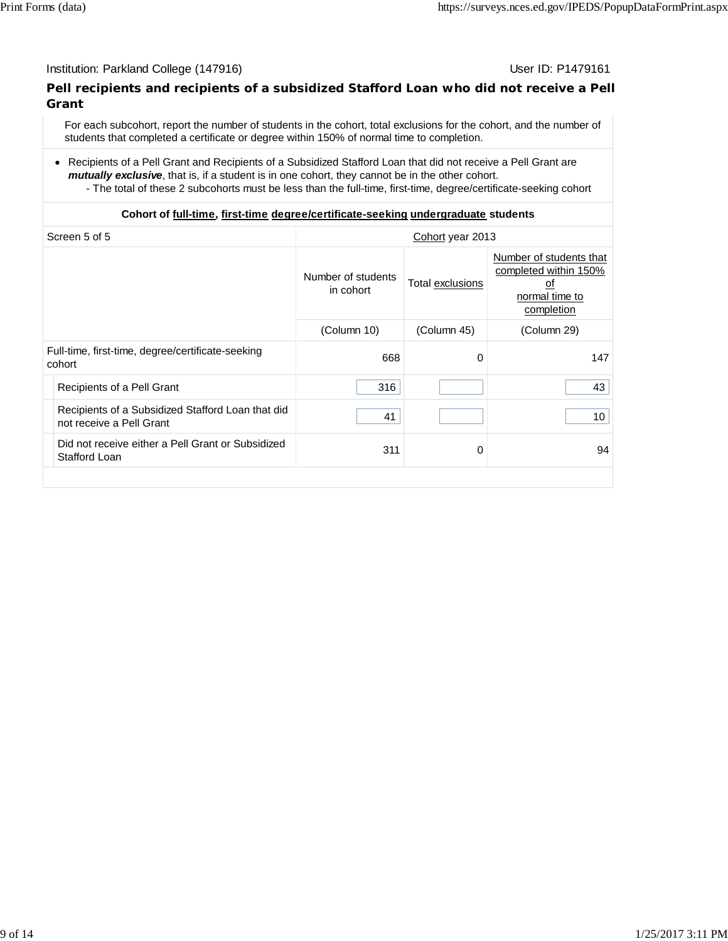### Institution: Parkland College (147916) November 2012 12: P1479161

## **Pell recipients and recipients of a subsidized Stafford Loan who did not receive a Pell Grant**

For each subcohort, report the number of students in the cohort, total exclusions for the cohort, and the number of students that completed a certificate or degree within 150% of normal time to completion.

- Recipients of a Pell Grant and Recipients of a Subsidized Stafford Loan that did not receive a Pell Grant are *mutually exclusive*, that is, if a student is in one cohort, they cannot be in the other cohort.
	- The total of these 2 subcohorts must be less than the full-time, first-time, degree/certificate-seeking cohort

## **Cohort of full-time, first-time degree/certificate-seeking undergraduate students**

| Screen 5 of 5                                                                 | Cohort year 2013                |                  |                                                                                        |  |  |
|-------------------------------------------------------------------------------|---------------------------------|------------------|----------------------------------------------------------------------------------------|--|--|
|                                                                               | Number of students<br>in cohort | Total exclusions | Number of students that<br>completed within 150%<br>οf<br>normal time to<br>completion |  |  |
|                                                                               | (Column 10)                     | (Column 45)      | (Column 29)                                                                            |  |  |
| Full-time, first-time, degree/certificate-seeking<br>cohort                   | 668                             | 0                | 147                                                                                    |  |  |
| Recipients of a Pell Grant                                                    | 316                             |                  | 43                                                                                     |  |  |
| Recipients of a Subsidized Stafford Loan that did<br>not receive a Pell Grant | 41                              |                  | 10                                                                                     |  |  |
| Did not receive either a Pell Grant or Subsidized<br>Stafford Loan            | 311                             | $\Omega$         | 94                                                                                     |  |  |
|                                                                               |                                 |                  |                                                                                        |  |  |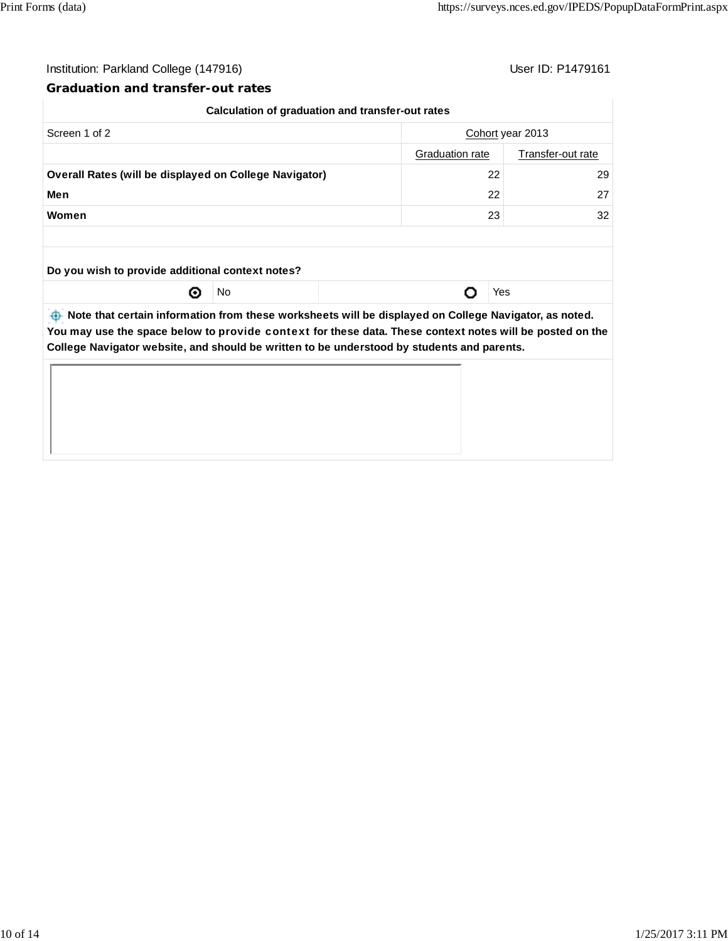$\begin{array}{c} \hline \end{array}$ 

## Institution: Parkland College (147916) Contract College (147916)

## **Graduation and transfer-out rates**

|                                                               | Calculation of graduation and transfer-out rates |                                                                                                            |     |  |  |
|---------------------------------------------------------------|--------------------------------------------------|------------------------------------------------------------------------------------------------------------|-----|--|--|
| Screen 1 of 2                                                 |                                                  | Cohort year 2013                                                                                           |     |  |  |
|                                                               | <b>Graduation rate</b><br>Transfer-out rate      |                                                                                                            |     |  |  |
| <b>Overall Rates (will be displayed on College Navigator)</b> | 22                                               | 29                                                                                                         |     |  |  |
| Men                                                           | 22                                               | 27                                                                                                         |     |  |  |
| Women                                                         | 23                                               | 32                                                                                                         |     |  |  |
|                                                               |                                                  |                                                                                                            |     |  |  |
| Do you wish to provide additional context notes?              |                                                  |                                                                                                            |     |  |  |
| ⊙                                                             | No                                               |                                                                                                            | Yes |  |  |
|                                                               |                                                  | between the part of the information from these worksheets will be displayed on College Navigator, as noted |     |  |  |

**<b>ID** Note that certain information from these worksheets will be displayed on College Navigator, as noted. **You may use the space below to** provide context **for these data. These context notes will be posted on the College Navigator website, and should be written to be understood by students and parents.**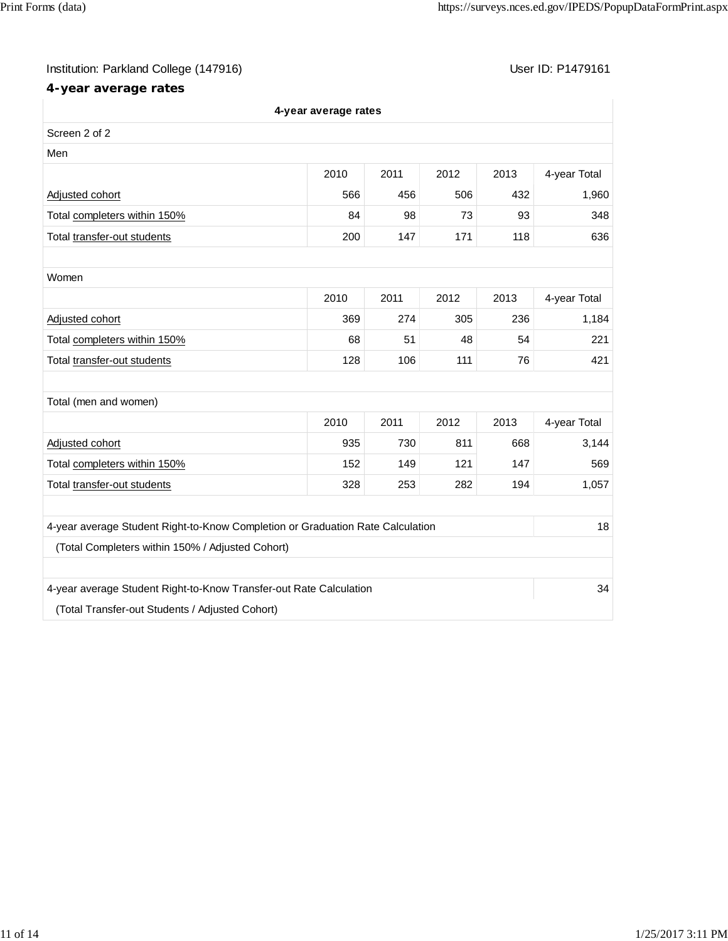# Institution: Parkland College (147916) Contract College (147916)

# **4-year average rates**

| 4-year average rates                                                           |      |      |      |      |              |  |
|--------------------------------------------------------------------------------|------|------|------|------|--------------|--|
| Screen 2 of 2                                                                  |      |      |      |      |              |  |
| Men                                                                            |      |      |      |      |              |  |
|                                                                                | 2010 | 2011 | 2012 | 2013 | 4-year Total |  |
| Adjusted cohort                                                                | 566  | 456  | 506  | 432  | 1,960        |  |
| Total completers within 150%                                                   | 84   | 98   | 73   | 93   | 348          |  |
| Total transfer-out students                                                    | 200  | 147  | 171  | 118  | 636          |  |
|                                                                                |      |      |      |      |              |  |
| Women                                                                          |      |      |      |      |              |  |
|                                                                                | 2010 | 2011 | 2012 | 2013 | 4-year Total |  |
| Adjusted cohort                                                                | 369  | 274  | 305  | 236  | 1,184        |  |
| Total completers within 150%                                                   | 68   | 51   | 48   | 54   | 221          |  |
| Total transfer-out students                                                    | 128  | 106  | 111  | 76   | 421          |  |
|                                                                                |      |      |      |      |              |  |
| Total (men and women)                                                          |      |      |      |      |              |  |
|                                                                                | 2010 | 2011 | 2012 | 2013 | 4-year Total |  |
| Adjusted cohort                                                                | 935  | 730  | 811  | 668  | 3,144        |  |
| Total completers within 150%                                                   | 152  | 149  | 121  | 147  | 569          |  |
| Total transfer-out students                                                    | 328  | 253  | 282  | 194  | 1,057        |  |
|                                                                                |      |      |      |      |              |  |
| 4-year average Student Right-to-Know Completion or Graduation Rate Calculation |      |      |      |      | 18           |  |
| (Total Completers within 150% / Adjusted Cohort)                               |      |      |      |      |              |  |
|                                                                                |      |      |      |      |              |  |
| 4-year average Student Right-to-Know Transfer-out Rate Calculation             |      |      |      |      | 34           |  |
| (Total Transfer-out Students / Adjusted Cohort)                                |      |      |      |      |              |  |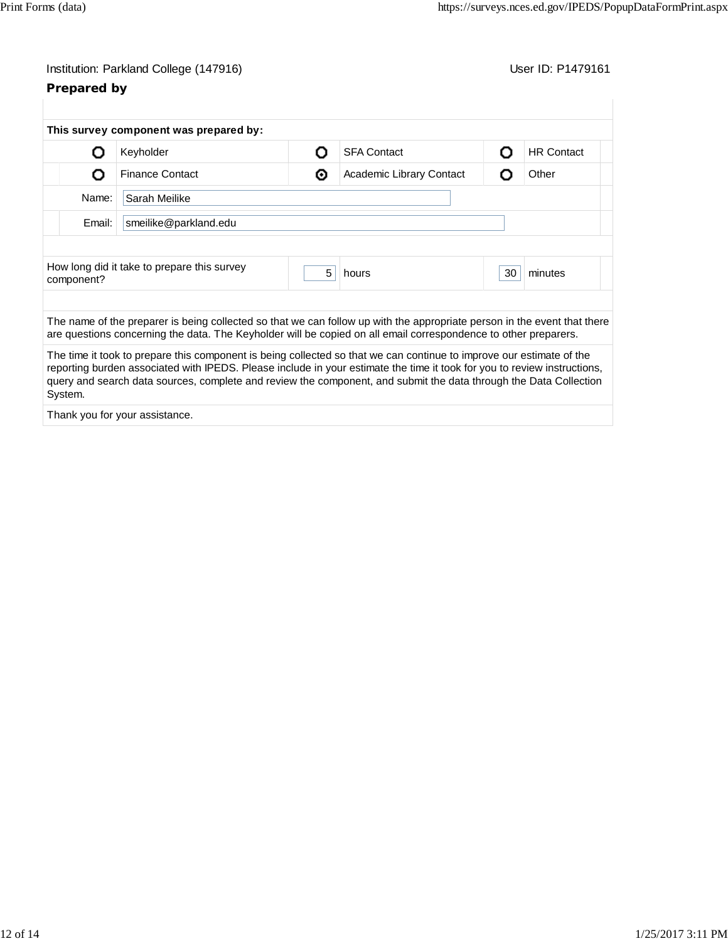| Institution: Parkland College (147916) |  |
|----------------------------------------|--|
|----------------------------------------|--|

# **Prepared by**

User ID: P1479161

|            | This survey component was prepared by:                                                                                   |   |                          |    |                   |  |  |
|------------|--------------------------------------------------------------------------------------------------------------------------|---|--------------------------|----|-------------------|--|--|
| O          | Keyholder                                                                                                                | റ | <b>SFA Contact</b>       | Ω  | <b>HR Contact</b> |  |  |
| О          | <b>Finance Contact</b>                                                                                                   | ◉ | Academic Library Contact | Ω  | Other             |  |  |
| Name:      | Sarah Meilike                                                                                                            |   |                          |    |                   |  |  |
| Email:     | smeilike@parkland.edu                                                                                                    |   |                          |    |                   |  |  |
|            |                                                                                                                          |   |                          |    |                   |  |  |
| component? | How long did it take to prepare this survey                                                                              | 5 | hours                    | 30 | minutes           |  |  |
|            |                                                                                                                          |   |                          |    |                   |  |  |
|            | The name of the preparer is being collected so that we can follow up with the appropriate person in the event that there |   |                          |    |                   |  |  |
|            | are questions concerning the data. The Keyholder will be copied on all email correspondence to other preparers.          |   |                          |    |                   |  |  |

Thank you for your assistance.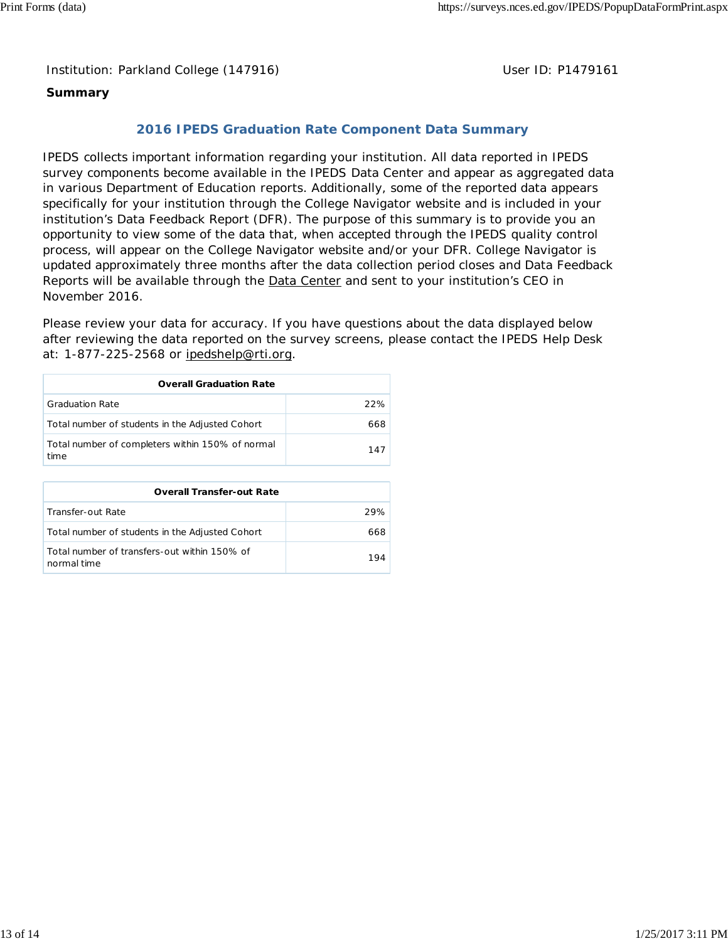Institution: Parkland College (147916) **Distribution: Parkland College (1479161** College College College College College College College College College College College College College College College College College Colle

## **Summary**

## **2016 IPEDS Graduation Rate Component Data Summary**

IPEDS collects important information regarding your institution. All data reported in IPEDS survey components become available in the IPEDS Data Center and appear as aggregated data in various Department of Education reports. Additionally, some of the reported data appears specifically for your institution through the College Navigator website and is included in your institution's Data Feedback Report (DFR). The purpose of this summary is to provide you an opportunity to view some of the data that, when accepted through the IPEDS quality control process, will appear on the College Navigator website and/or your DFR. College Navigator is updated approximately three months after the data collection period closes and Data Feedback Reports will be available through the **Data Center** and sent to your institution's CEO in November 2016.

Please review your data for accuracy. If you have questions about the data displayed below after reviewing the data reported on the survey screens, please contact the IPEDS Help Desk at: 1-877-225-2568 or ipedshelp@rti.org.

| <b>Overall Graduation Rate</b>                           |     |  |  |  |  |
|----------------------------------------------------------|-----|--|--|--|--|
| <b>Graduation Rate</b>                                   | 22% |  |  |  |  |
| Total number of students in the Adjusted Cohort          | 668 |  |  |  |  |
| Total number of completers within 150% of normal<br>time | 147 |  |  |  |  |

| <b>Overall Transfer-out Rate</b>                            |      |  |  |  |  |
|-------------------------------------------------------------|------|--|--|--|--|
| Transfer-out Rate                                           | 29%  |  |  |  |  |
| Total number of students in the Adjusted Cohort             | 668. |  |  |  |  |
| Total number of transfers-out within 150% of<br>normal time | 194  |  |  |  |  |